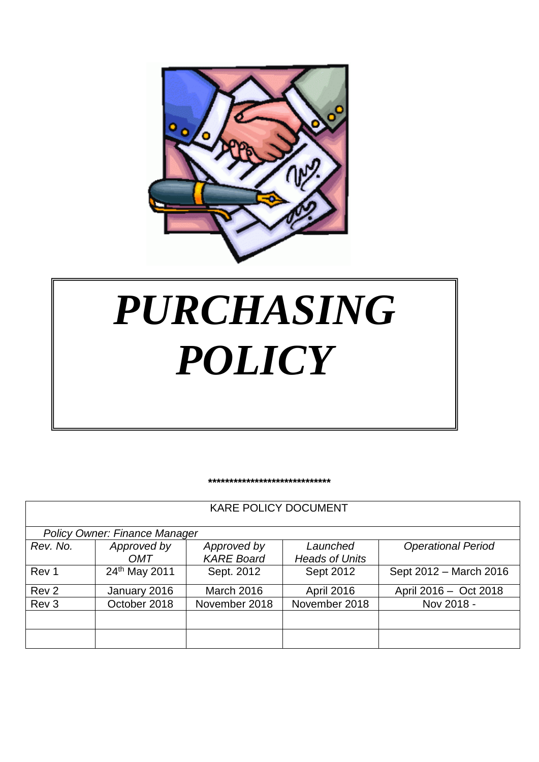

# *PURCHASING POLICY*

**\*\*\*\*\*\*\*\*\*\*\*\*\*\*\*\*\*\*\*\*\*\*\*\*\*\*\*\*\***

| <b>Policy Owner: Finance Manager</b> |               |                   |                       |                           |  |  |  |  |
|--------------------------------------|---------------|-------------------|-----------------------|---------------------------|--|--|--|--|
| Rev. No.                             | Approved by   | Approved by       | Launched              | <b>Operational Period</b> |  |  |  |  |
|                                      | <b>OMT</b>    | <b>KARE Board</b> | <b>Heads of Units</b> |                           |  |  |  |  |
| Rev 1                                | 24th May 2011 | Sept. 2012        | Sept 2012             | Sept 2012 - March 2016    |  |  |  |  |
| Rev <sub>2</sub>                     | January 2016  | <b>March 2016</b> | <b>April 2016</b>     | April 2016 - Oct 2018     |  |  |  |  |
| Rev <sub>3</sub>                     | October 2018  | November 2018     | November 2018         | Nov 2018 -                |  |  |  |  |
|                                      |               |                   |                       |                           |  |  |  |  |
|                                      |               |                   |                       |                           |  |  |  |  |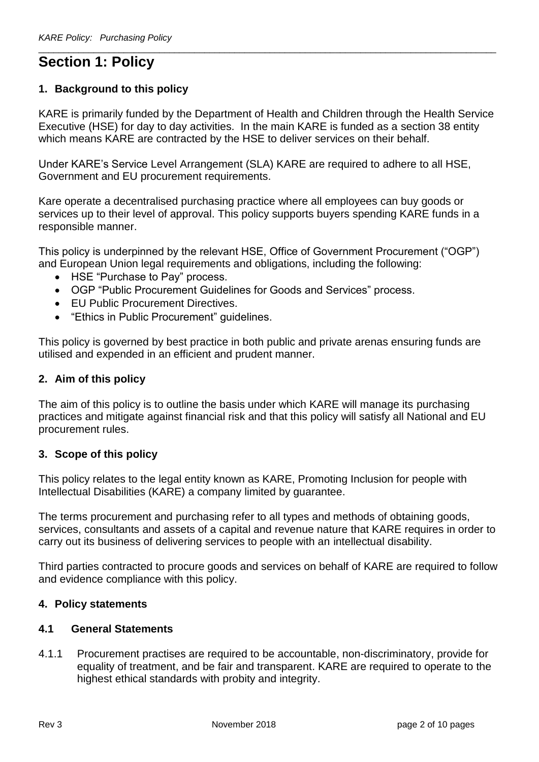# **Section 1: Policy**

## **1. Background to this policy**

KARE is primarily funded by the Department of Health and Children through the Health Service Executive (HSE) for day to day activities. In the main KARE is funded as a section 38 entity which means KARE are contracted by the HSE to deliver services on their behalf.

\_\_\_\_\_\_\_\_\_\_\_\_\_\_\_\_\_\_\_\_\_\_\_\_\_\_\_\_\_\_\_\_\_\_\_\_\_\_\_\_\_\_\_\_\_\_\_\_\_\_\_\_\_\_\_\_\_\_\_\_\_\_\_\_\_\_\_\_\_\_\_\_\_\_\_\_\_\_\_\_\_\_\_\_\_\_\_\_\_\_\_

Under KARE's Service Level Arrangement (SLA) KARE are required to adhere to all HSE, Government and EU procurement requirements.

Kare operate a decentralised purchasing practice where all employees can buy goods or services up to their level of approval. This policy supports buyers spending KARE funds in a responsible manner.

This policy is underpinned by the relevant HSE, Office of Government Procurement ("OGP") and European Union legal requirements and obligations, including the following:

- HSE "Purchase to Pay" process.
- OGP "Public Procurement Guidelines for Goods and Services" process.
- EU Public Procurement Directives.
- "Ethics in Public Procurement" guidelines.

This policy is governed by best practice in both public and private arenas ensuring funds are utilised and expended in an efficient and prudent manner.

#### **2. Aim of this policy**

The aim of this policy is to outline the basis under which KARE will manage its purchasing practices and mitigate against financial risk and that this policy will satisfy all National and EU procurement rules.

#### **3. Scope of this policy**

This policy relates to the legal entity known as KARE, Promoting Inclusion for people with Intellectual Disabilities (KARE) a company limited by guarantee.

The terms procurement and purchasing refer to all types and methods of obtaining goods, services, consultants and assets of a capital and revenue nature that KARE requires in order to carry out its business of delivering services to people with an intellectual disability.

Third parties contracted to procure goods and services on behalf of KARE are required to follow and evidence compliance with this policy.

#### **4. Policy statements**

#### **4.1 General Statements**

4.1.1 Procurement practises are required to be accountable, non-discriminatory, provide for equality of treatment, and be fair and transparent. KARE are required to operate to the highest ethical standards with probity and integrity.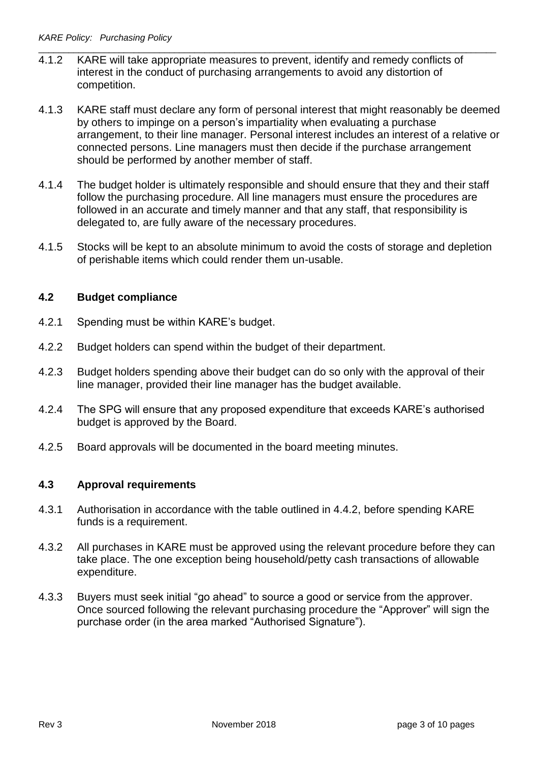4.1.2 KARE will take appropriate measures to prevent, identify and remedy conflicts of interest in the conduct of purchasing arrangements to avoid any distortion of competition.

\_\_\_\_\_\_\_\_\_\_\_\_\_\_\_\_\_\_\_\_\_\_\_\_\_\_\_\_\_\_\_\_\_\_\_\_\_\_\_\_\_\_\_\_\_\_\_\_\_\_\_\_\_\_\_\_\_\_\_\_\_\_\_\_\_\_\_\_\_\_\_\_\_\_\_\_\_\_\_\_\_\_\_\_\_\_\_\_\_\_\_

- 4.1.3 KARE staff must declare any form of personal interest that might reasonably be deemed by others to impinge on a person's impartiality when evaluating a purchase arrangement, to their line manager. Personal interest includes an interest of a relative or connected persons. Line managers must then decide if the purchase arrangement should be performed by another member of staff.
- 4.1.4 The budget holder is ultimately responsible and should ensure that they and their staff follow the purchasing procedure. All line managers must ensure the procedures are followed in an accurate and timely manner and that any staff, that responsibility is delegated to, are fully aware of the necessary procedures.
- 4.1.5 Stocks will be kept to an absolute minimum to avoid the costs of storage and depletion of perishable items which could render them un-usable.

# **4.2 Budget compliance**

- 4.2.1 Spending must be within KARE's budget.
- 4.2.2 Budget holders can spend within the budget of their department.
- 4.2.3 Budget holders spending above their budget can do so only with the approval of their line manager, provided their line manager has the budget available.
- 4.2.4 The SPG will ensure that any proposed expenditure that exceeds KARE's authorised budget is approved by the Board.
- 4.2.5 Board approvals will be documented in the board meeting minutes.

# **4.3 Approval requirements**

- 4.3.1 Authorisation in accordance with the table outlined in 4.4.2, before spending KARE funds is a requirement.
- 4.3.2 All purchases in KARE must be approved using the relevant procedure before they can take place. The one exception being household/petty cash transactions of allowable expenditure.
- 4.3.3 Buyers must seek initial "go ahead" to source a good or service from the approver. Once sourced following the relevant purchasing procedure the "Approver" will sign the purchase order (in the area marked "Authorised Signature").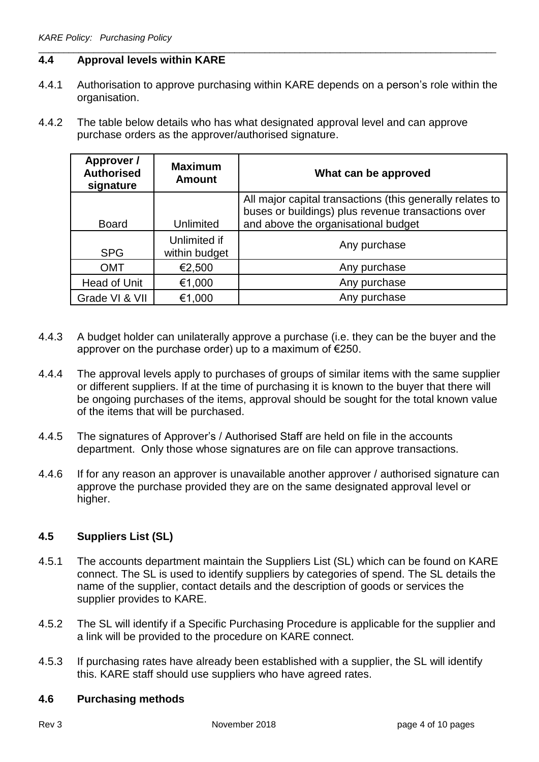#### **4.4 Approval levels within KARE**

4.4.1 Authorisation to approve purchasing within KARE depends on a person's role within the organisation.

\_\_\_\_\_\_\_\_\_\_\_\_\_\_\_\_\_\_\_\_\_\_\_\_\_\_\_\_\_\_\_\_\_\_\_\_\_\_\_\_\_\_\_\_\_\_\_\_\_\_\_\_\_\_\_\_\_\_\_\_\_\_\_\_\_\_\_\_\_\_\_\_\_\_\_\_\_\_\_\_\_\_\_\_\_\_\_\_\_\_\_

4.4.2 The table below details who has what designated approval level and can approve purchase orders as the approver/authorised signature.

| Approver /<br><b>Maximum</b><br><b>Authorised</b><br><b>Amount</b><br>signature |                               | What can be approved                                                                                            |  |
|---------------------------------------------------------------------------------|-------------------------------|-----------------------------------------------------------------------------------------------------------------|--|
|                                                                                 |                               | All major capital transactions (this generally relates to<br>buses or buildings) plus revenue transactions over |  |
| <b>Board</b>                                                                    | <b>Unlimited</b>              | and above the organisational budget                                                                             |  |
| <b>SPG</b>                                                                      | Unlimited if<br>within budget | Any purchase                                                                                                    |  |
| <b>OMT</b>                                                                      | €2,500                        | Any purchase                                                                                                    |  |
| Head of Unit                                                                    | €1,000                        | Any purchase                                                                                                    |  |
| Grade VI & VII                                                                  | €1,000                        | Any purchase                                                                                                    |  |

- 4.4.3 A budget holder can unilaterally approve a purchase (i.e. they can be the buyer and the approver on the purchase order) up to a maximum of €250.
- 4.4.4 The approval levels apply to purchases of groups of similar items with the same supplier or different suppliers. If at the time of purchasing it is known to the buyer that there will be ongoing purchases of the items, approval should be sought for the total known value of the items that will be purchased.
- 4.4.5 The signatures of Approver's / Authorised Staff are held on file in the accounts department. Only those whose signatures are on file can approve transactions.
- 4.4.6 If for any reason an approver is unavailable another approver / authorised signature can approve the purchase provided they are on the same designated approval level or higher.

#### **4.5 Suppliers List (SL)**

- 4.5.1 The accounts department maintain the Suppliers List (SL) which can be found on KARE connect. The SL is used to identify suppliers by categories of spend. The SL details the name of the supplier, contact details and the description of goods or services the supplier provides to KARE.
- 4.5.2 The SL will identify if a Specific Purchasing Procedure is applicable for the supplier and a link will be provided to the procedure on KARE connect.
- 4.5.3 If purchasing rates have already been established with a supplier, the SL will identify this. KARE staff should use suppliers who have agreed rates.

#### **4.6 Purchasing methods**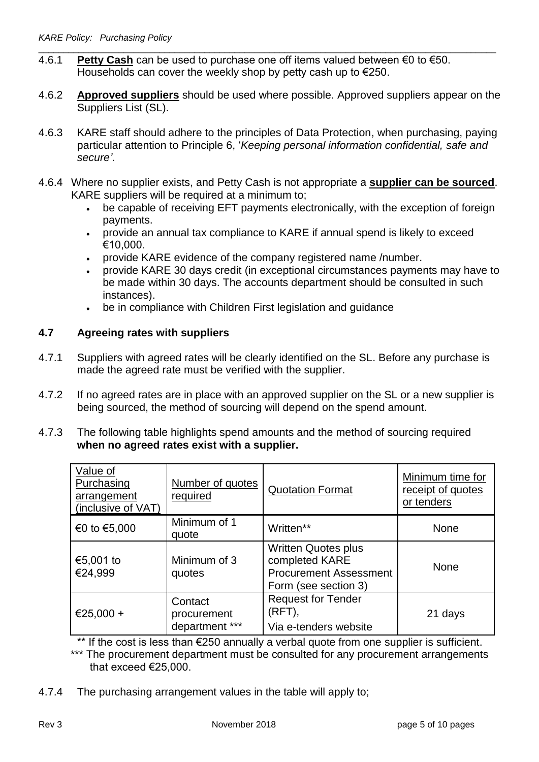- \_\_\_\_\_\_\_\_\_\_\_\_\_\_\_\_\_\_\_\_\_\_\_\_\_\_\_\_\_\_\_\_\_\_\_\_\_\_\_\_\_\_\_\_\_\_\_\_\_\_\_\_\_\_\_\_\_\_\_\_\_\_\_\_\_\_\_\_\_\_\_\_\_\_\_\_\_\_\_\_\_\_\_\_\_\_\_\_\_\_\_ 4.6.1 **Petty Cash** can be used to purchase one off items valued between €0 to €50. Households can cover the weekly shop by petty cash up to  $\epsilon$ 250.
- 4.6.2 **Approved suppliers** should be used where possible. Approved suppliers appear on the Suppliers List (SL).
- 4.6.3 KARE staff should adhere to the principles of Data Protection, when purchasing, paying particular attention to Principle 6, '*Keeping personal information confidential, safe and secure'*.
- 4.6.4 Where no supplier exists, and Petty Cash is not appropriate a **supplier can be sourced**. KARE suppliers will be required at a minimum to;
	- be capable of receiving EFT payments electronically, with the exception of foreign payments.
	- provide an annual tax compliance to KARE if annual spend is likely to exceed €10,000.
	- provide KARE evidence of the company registered name /number.
	- provide KARE 30 days credit (in exceptional circumstances payments may have to be made within 30 days. The accounts department should be consulted in such instances).
	- be in compliance with Children First legislation and guidance

## **4.7 Agreeing rates with suppliers**

- 4.7.1 Suppliers with agreed rates will be clearly identified on the SL. Before any purchase is made the agreed rate must be verified with the supplier.
- 4.7.2 If no agreed rates are in place with an approved supplier on the SL or a new supplier is being sourced, the method of sourcing will depend on the spend amount.
- 4.7.3 The following table highlights spend amounts and the method of sourcing required **when no agreed rates exist with a supplier.**

| Value of<br>Purchasing<br>arrangement<br>(inclusive of VAT) | Number of quotes<br>required             | <b>Quotation Format</b>                                                                               | Minimum time for<br>receipt of quotes<br>or tenders |
|-------------------------------------------------------------|------------------------------------------|-------------------------------------------------------------------------------------------------------|-----------------------------------------------------|
| €0 to €5,000                                                | Minimum of 1<br>quote                    | Written**                                                                                             | <b>None</b>                                         |
| €5,001 to<br>€24,999                                        | Minimum of 3<br>quotes                   | <b>Written Quotes plus</b><br>completed KARE<br><b>Procurement Assessment</b><br>Form (see section 3) | <b>None</b>                                         |
| €25,000 +                                                   | Contact<br>procurement<br>department *** | <b>Request for Tender</b><br>$(RFT)$ ,<br>Via e-tenders website                                       | 21 days                                             |

\*\* If the cost is less than €250 annually a verbal quote from one supplier is sufficient.

\*\*\* The procurement department must be consulted for any procurement arrangements that exceed €25,000.

4.7.4 The purchasing arrangement values in the table will apply to;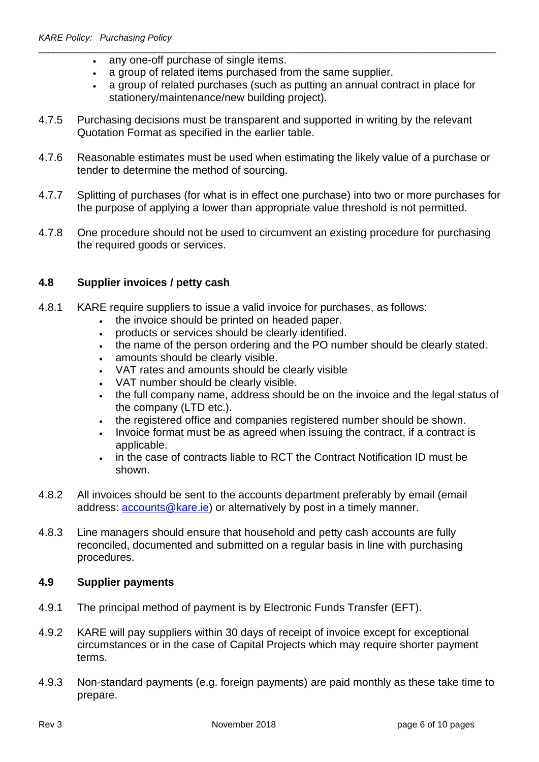- any one-off purchase of single items.
- a group of related items purchased from the same supplier.
- a group of related purchases (such as putting an annual contract in place for stationery/maintenance/new building project).
- 4.7.5 Purchasing decisions must be transparent and supported in writing by the relevant Quotation Format as specified in the earlier table.
- 4.7.6 Reasonable estimates must be used when estimating the likely value of a purchase or tender to determine the method of sourcing.

\_\_\_\_\_\_\_\_\_\_\_\_\_\_\_\_\_\_\_\_\_\_\_\_\_\_\_\_\_\_\_\_\_\_\_\_\_\_\_\_\_\_\_\_\_\_\_\_\_\_\_\_\_\_\_\_\_\_\_\_\_\_\_\_\_\_\_\_\_\_\_\_\_\_\_\_\_\_\_\_\_\_\_\_\_\_\_\_\_\_\_

- 4.7.7 Splitting of purchases (for what is in effect one purchase) into two or more purchases for the purpose of applying a lower than appropriate value threshold is not permitted.
- 4.7.8 One procedure should not be used to circumvent an existing procedure for purchasing the required goods or services.

#### **4.8 Supplier invoices / petty cash**

- 4.8.1 KARE require suppliers to issue a valid invoice for purchases, as follows:
	- the invoice should be printed on headed paper.
	- products or services should be clearly identified.
	- the name of the person ordering and the PO number should be clearly stated.
	- amounts should be clearly visible.
	- VAT rates and amounts should be clearly visible
	- VAT number should be clearly visible.
	- the full company name, address should be on the invoice and the legal status of the company (LTD etc.).
	- the registered office and companies registered number should be shown.
	- Invoice format must be as agreed when issuing the contract, if a contract is applicable.
	- in the case of contracts liable to RCT the Contract Notification ID must be shown.
- 4.8.2 All invoices should be sent to the accounts department preferably by email (email address: **accounts@kare.ie**) or alternatively by post in a timely manner.
- 4.8.3 Line managers should ensure that household and petty cash accounts are fully reconciled, documented and submitted on a regular basis in line with purchasing procedures.

#### **4.9 Supplier payments**

- 4.9.1 The principal method of payment is by Electronic Funds Transfer (EFT).
- 4.9.2 KARE will pay suppliers within 30 days of receipt of invoice except for exceptional circumstances or in the case of Capital Projects which may require shorter payment terms.
- 4.9.3 Non-standard payments (e.g. foreign payments) are paid monthly as these take time to prepare.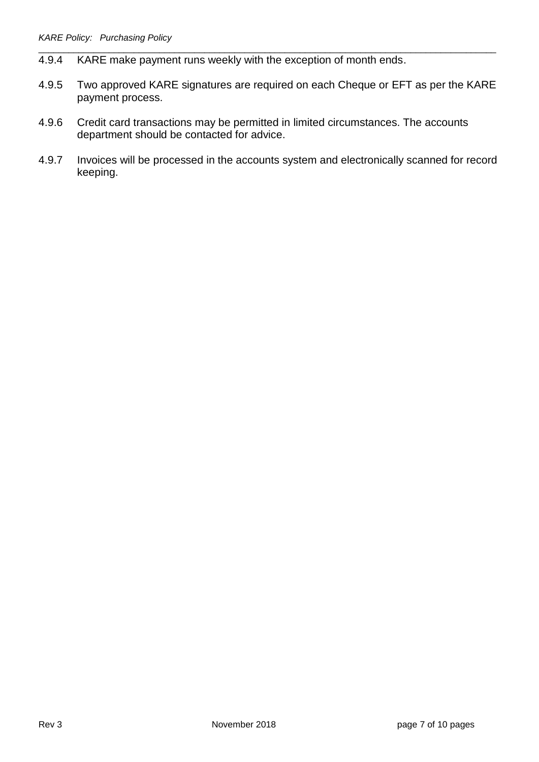- 4.9.4 KARE make payment runs weekly with the exception of month ends.
- 4.9.5 Two approved KARE signatures are required on each Cheque or EFT as per the KARE payment process.

\_\_\_\_\_\_\_\_\_\_\_\_\_\_\_\_\_\_\_\_\_\_\_\_\_\_\_\_\_\_\_\_\_\_\_\_\_\_\_\_\_\_\_\_\_\_\_\_\_\_\_\_\_\_\_\_\_\_\_\_\_\_\_\_\_\_\_\_\_\_\_\_\_\_\_\_\_\_\_\_\_\_\_\_\_\_\_\_\_\_\_

- 4.9.6 Credit card transactions may be permitted in limited circumstances. The accounts department should be contacted for advice.
- 4.9.7 Invoices will be processed in the accounts system and electronically scanned for record keeping.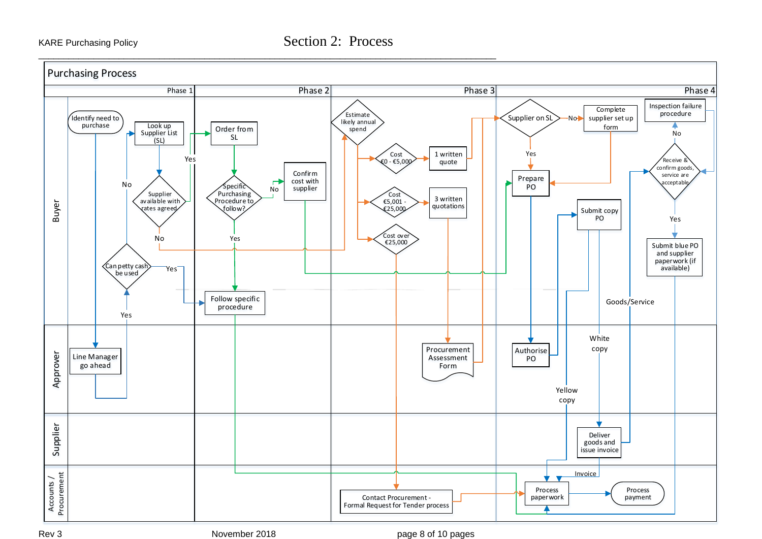\_\_\_\_\_\_\_\_\_\_\_\_\_\_\_\_\_\_\_\_\_\_\_\_\_\_\_\_\_\_\_\_\_\_\_\_\_\_\_\_\_\_\_\_\_\_\_\_\_\_\_\_\_\_\_\_\_\_\_\_\_\_\_\_\_\_\_\_\_\_\_\_\_\_\_\_\_\_\_\_\_\_\_\_\_\_\_\_\_\_\_

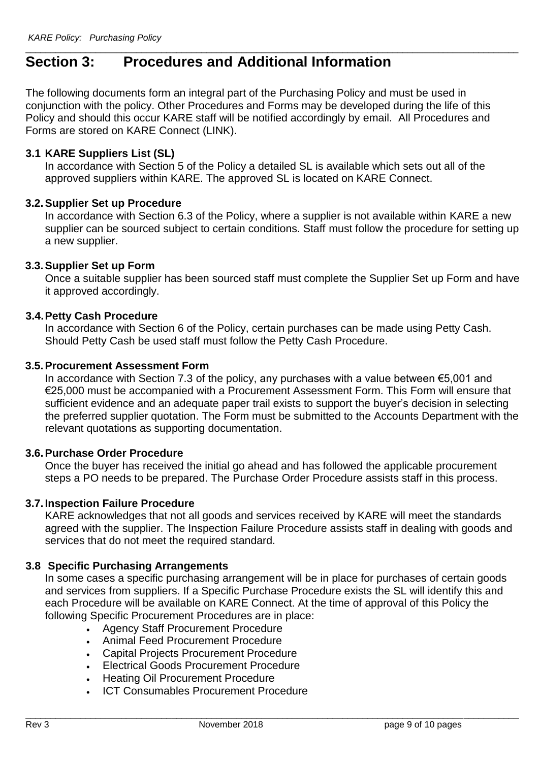# **Section 3: Procedures and Additional Information**

The following documents form an integral part of the Purchasing Policy and must be used in conjunction with the policy. Other Procedures and Forms may be developed during the life of this Policy and should this occur KARE staff will be notified accordingly by email. All Procedures and Forms are stored on KARE Connect (LINK).

\_\_\_\_\_\_\_\_\_\_\_\_\_\_\_\_\_\_\_\_\_\_\_\_\_\_\_\_\_\_\_\_\_\_\_\_\_\_\_\_\_\_\_\_\_\_\_\_\_\_\_\_\_\_\_\_\_\_\_\_\_\_\_\_\_\_\_\_\_\_\_\_\_\_\_\_\_\_\_\_\_\_\_\_\_\_\_\_\_\_\_\_\_\_\_\_\_\_

## **3.1 KARE Suppliers List (SL)**

In accordance with Section 5 of the Policy a detailed SL is available which sets out all of the approved suppliers within KARE. The approved SL is located on KARE Connect.

# **3.2.Supplier Set up Procedure**

In accordance with Section 6.3 of the Policy, where a supplier is not available within KARE a new supplier can be sourced subject to certain conditions. Staff must follow the procedure for setting up a new supplier.

#### **3.3.Supplier Set up Form**

Once a suitable supplier has been sourced staff must complete the Supplier Set up Form and have it approved accordingly.

#### **3.4.Petty Cash Procedure**

In accordance with Section 6 of the Policy, certain purchases can be made using Petty Cash. Should Petty Cash be used staff must follow the Petty Cash Procedure.

#### **3.5.Procurement Assessment Form**

In accordance with Section 7.3 of the policy, any purchases with a value between €5,001 and €25,000 must be accompanied with a Procurement Assessment Form. This Form will ensure that sufficient evidence and an adequate paper trail exists to support the buyer's decision in selecting the preferred supplier quotation. The Form must be submitted to the Accounts Department with the relevant quotations as supporting documentation.

## **3.6.Purchase Order Procedure**

Once the buyer has received the initial go ahead and has followed the applicable procurement steps a PO needs to be prepared. The Purchase Order Procedure assists staff in this process.

#### **3.7.Inspection Failure Procedure**

KARE acknowledges that not all goods and services received by KARE will meet the standards agreed with the supplier. The Inspection Failure Procedure assists staff in dealing with goods and services that do not meet the required standard.

# **3.8 Specific Purchasing Arrangements**

In some cases a specific purchasing arrangement will be in place for purchases of certain goods and services from suppliers. If a Specific Purchase Procedure exists the SL will identify this and each Procedure will be available on KARE Connect. At the time of approval of this Policy the following Specific Procurement Procedures are in place:

- Agency Staff Procurement Procedure
- Animal Feed Procurement Procedure
- Capital Projects Procurement Procedure
- Electrical Goods Procurement Procedure
- Heating Oil Procurement Procedure
- ICT Consumables Procurement Procedure